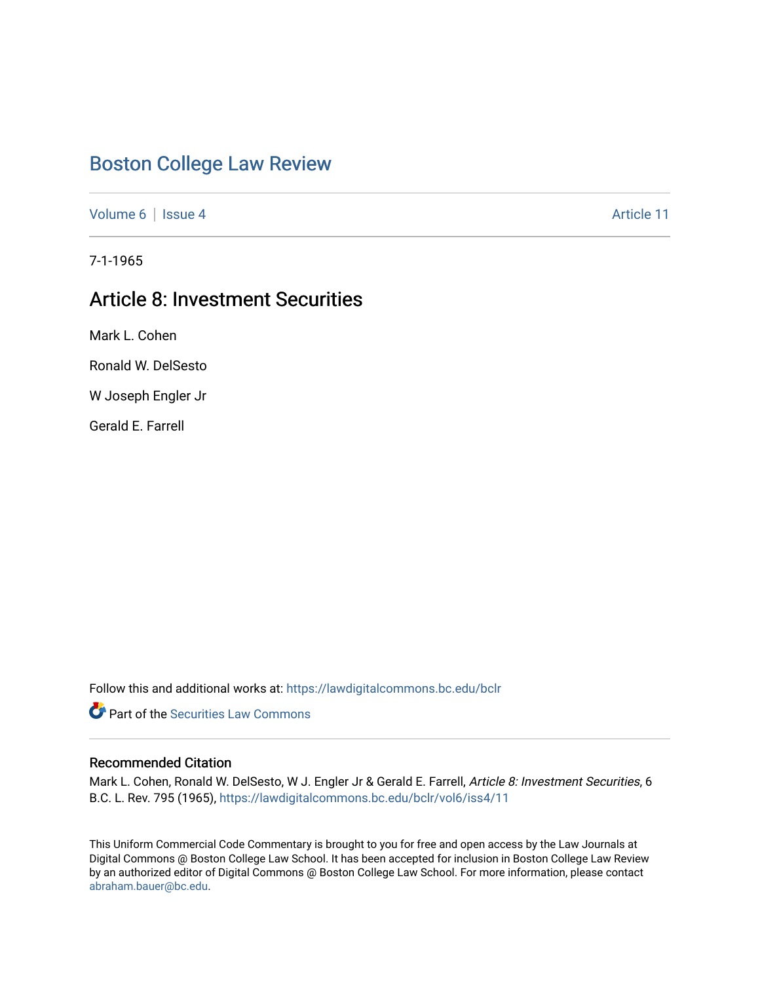# [Boston College Law Review](https://lawdigitalcommons.bc.edu/bclr)

[Volume 6](https://lawdigitalcommons.bc.edu/bclr/vol6) | [Issue 4](https://lawdigitalcommons.bc.edu/bclr/vol6/iss4) Article 11

7-1-1965

# Article 8: Investment Securities

Mark L. Cohen

Ronald W. DelSesto

W Joseph Engler Jr

Gerald E. Farrell

Follow this and additional works at: [https://lawdigitalcommons.bc.edu/bclr](https://lawdigitalcommons.bc.edu/bclr?utm_source=lawdigitalcommons.bc.edu%2Fbclr%2Fvol6%2Fiss4%2F11&utm_medium=PDF&utm_campaign=PDFCoverPages) 

**P** Part of the Securities Law Commons

## Recommended Citation

Mark L. Cohen, Ronald W. DelSesto, W J. Engler Jr & Gerald E. Farrell, Article 8: Investment Securities, 6 B.C. L. Rev. 795 (1965), [https://lawdigitalcommons.bc.edu/bclr/vol6/iss4/11](https://lawdigitalcommons.bc.edu/bclr/vol6/iss4/11?utm_source=lawdigitalcommons.bc.edu%2Fbclr%2Fvol6%2Fiss4%2F11&utm_medium=PDF&utm_campaign=PDFCoverPages) 

This Uniform Commercial Code Commentary is brought to you for free and open access by the Law Journals at Digital Commons @ Boston College Law School. It has been accepted for inclusion in Boston College Law Review by an authorized editor of Digital Commons @ Boston College Law School. For more information, please contact [abraham.bauer@bc.edu.](mailto:abraham.bauer@bc.edu)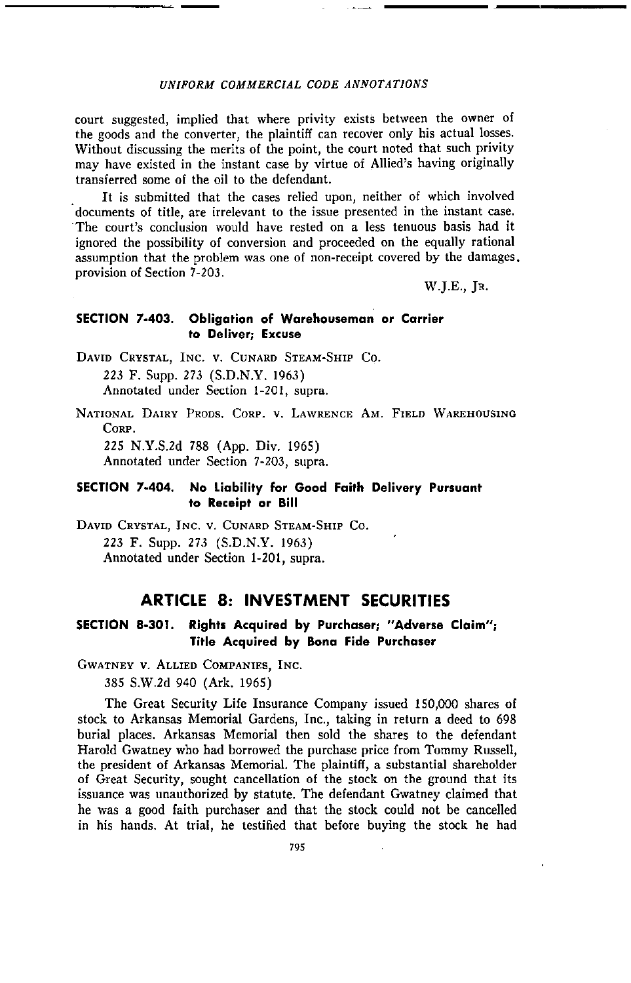#### *UNIFORM COMMERCIAL CODE ANNOTATIONS*

court suggested, implied that where privity exists between the owner of the goods and the converter, the plaintiff can recover only his actual losses. Without discussing the merits of the point, the court noted that such privity may have existed in the instant case by virtue of Allied's having originally transferred some of the oil to the defendant.

It is submitted that the cases relied upon, neither of which involved documents of title, are irrelevant to the issue presented in the instant case. The court's conclusion would have rested on a less tenuous basis had it ignored the possibility of conversion and proceeded on the equally rational assumption that the problem was one of non-receipt covered by the damages. provision of Section 7-203.

W.J.E., JR.

#### **SECTION 7-403. Obligation of Warehouseman or Carrier to Deliver; Excuse**

DAVID CRYSTAL, INC. V. CUNARD STEAM-SHIP Co. 223 F. Supp. 273 (S.D.N.Y. 1963) Annotated under Section 1-201, supra.

NATIONAL DAIRY PRODS. CORP. V. LAWRENCE AM. FIELD WAREHOUSING CORP. 225 N.Y.S.2d 788 (App. Div. 1965)

Annotated under Section 7-203, supra.

### **SECTION 7-404. No Liability for Good Faith Delivery Pursuant to Receipt or Bill**

DAVID CRYSTAL, INC. V. CUNARD STEAM-SHIP Co. 223 F. Supp. 273 (S.D.N.Y. 1963) Annotated under Section 1-201, supra.

# **ARTICLE 8: INVESTMENT SECURITIES**

## **SECTION 8-301. Rights Acquired by Purchaser; "Adverse Claim"; Title Acquired by Bona Fide Purchaser**

GWATNEY V. ALLIED COMPANIES, INC.

385 S.W.2d 940 (Ark. 1965)

The Great Security Life Insurance Company issued 150,000 shares of stock to Arkansas Memorial Gardens, Inc., taking in return a deed to 698 burial places. Arkansas Memorial then sold the shares to the defendant Harold Gwatney who had borrowed the purchase price from Tommy Russell, the president of Arkansas Memorial. The plaintiff, a substantial shareholder of Great Security, sought cancellation of the stock on the ground that its issuance was unauthorized by statute. The defendant Gwatney claimed that he was a good faith purchaser and that the stock could not be cancelled in his hands. At trial, he testified that before buying the stock he had